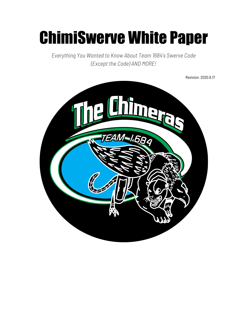# ChimiSwerve White Paper

*Everything You Wanted to Know About Team 1684's Swerve Code (Except the Code) AND MORE!*

Revision: 2020.8.17

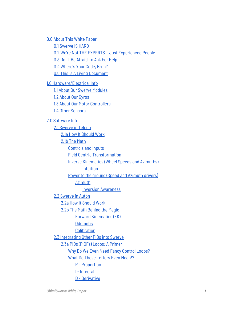0.0 [About](#page-4-0) This White Paper

0.1 [Swerve](#page-4-1) IS HARD

0.2 We're Not THE EXPERTS… Just [Experienced](#page-4-2) People

0.3 Don't Be [Afraid](#page-4-3) To Ask For Help!

0.4 [Where's](#page-5-0) Your Code, Bruh?

0.5 This Is A Living [Document](#page-5-1)

1.0 [Hardware/Electrical](#page-6-0) Info

1.1 About Our Swerve [Modules](#page-6-1)

1.2 [About](#page-6-2) Our Gyros

1.3 About Our Motor [Controllers](#page-6-3)

1.4 Other [Sensors](#page-7-0)

#### 2.0 [Software](#page-8-0) Info

2.1 [Swerve](#page-8-1) in Teleop

2.1a How It [Should](#page-8-2) Work

2.1b The [Math](#page-9-0)

[Controls](#page-9-1) and Inputs

Field Centric Transformation

Inverse [Kinematics](#page-12-0) (Wheel Speeds and Azimuths)

[Intuition](#page-12-1)

Power to the ground (Speed and [Azimuth](#page-14-0) drivers)

[Azimuth](#page-15-0)

Inversion [Awareness](#page-15-1)

2.2 [Swerve](#page-15-2) in Auton

2.2a How It [Should](#page-15-3) Work

2.2b The Math [Behind](#page-16-0) the Magic

Forward [Kinematics](#page-16-1) (FK)

**[Odometry](#page-18-0)** 

**[Calibration](#page-19-0)** 

2.3 [Integrating](#page-19-1) Other PIDs into Swerve

2.3a PIDs [\(PIDFs\)](#page-20-0) Loops: A Primer

Why Do We Even Need Fancy [Control](#page-20-1) Loops?

What Do These [Letters](#page-20-2) Even Mean!?

P - [Proportion](#page-20-3)

I - [Integral](#page-21-0)

D - [Derivative](#page-22-0)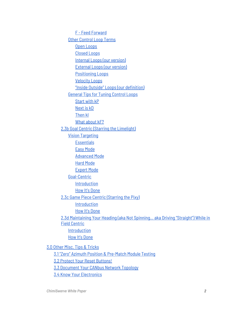F - Feed [Forward](#page-23-0) Other [Control](#page-23-1) Loop Terms Open [Loops](#page-23-2) [Closed](#page-23-3) Loops Internal Loops (our [version\)](#page-23-4) [External](#page-23-5) Loops (our version) [Positioning](#page-24-0) Loops [Velocity](#page-24-1) Loops "Inside Outside" Loops (our [definition\)](#page-24-2) [General](#page-24-3) Tips for Tuning Control Loops [Start](#page-24-4) with kP [Next](#page-25-0) is kD [Then](#page-26-0) kI What [about](#page-28-0) **kF?** 2.3b Goal Centric (Starring the [Limelight\)](#page-28-1) Vision [Targeting](#page-28-2) **[Essentials](#page-28-3)** Easy [Mode](#page-29-0) [Advanced](#page-29-1) Mode Hard [Mode](#page-30-0) [Expert](#page-30-1) Mode [Goal-Centric](#page-31-0) [Introduction](#page-31-1) How It's [Done](#page-31-2) 2.3c Game Piece Centric [\(Starring](#page-32-0) the Pixy) [Introduction](#page-32-1) How It's [Done](#page-32-2) 2.3d [Maintaining](#page-34-0) Your Heading (aka Not Spinning… aka Driving "Straight") While in Field [Centric](#page-34-0) [Introduction](#page-34-1) How It's [Done](#page-34-2) 3.0 Other Misc. Tips & [Tricks](#page-35-0) 3.1 "Zero" Azimuth Position & [Pre-Match](#page-35-1) Module Testing 3.2 Protect Your Reset [Buttons!](#page-36-0) 3.3 [Document](#page-36-1) Your CANbus Network Topology 3.4 Know Your [Electronics](#page-38-0)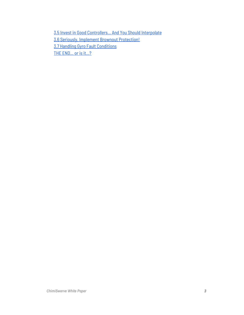3.5 Invest in Good [Controllers…](#page-38-1) And You Should Interpolate 3.6 Seriously, Implement Brownout [Protection!](#page-39-0) 3.7 Handling Gyro Fault [Conditions](#page-40-0) THE [END…](#page-41-0) or is it…?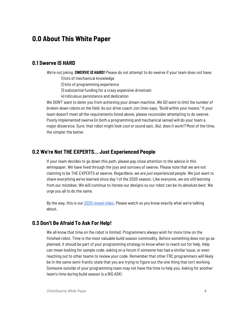# <span id="page-4-0"></span>**0.0 About This White Paper**

## <span id="page-4-1"></span>**0.1 Swerve IS HARD**

*We're not joking. SWERVE IS HARD!* Please do not attempt to do swerve if your team does not have:

1) lots of mechanical knowledge

2) lots of programming experience

3) substantial funding for a crazy expensive drivetrain

4) ridiculous persistence and dedication

We DON'T want to deter you from achieving your dream machine. *We DO want to limit the number of broken-down robots on the field.* As our drive coach Jon Uren says, *"Build within your means."* If your team doesn't meet all the requirements listed above, please reconsider attempting to do swerve. Poorly implemented swerve (in both a programming and mechanical sense) will do your team a major disservice. Sure, that robot might look cool or sound epic. *But, does it work!?* Most of the time, the simpler the better.

## <span id="page-4-2"></span>**0.2 We're Not THE EXPERTS… Just Experienced People**

If your team decides to go down this path, please pay close attention to the advice in this whitepaper. We have lived through the joys and sorrows of swerve. Please note that we are not claiming to be THE EXPERTS at swerve. Regardless, we are *just experienced people*. We just want to share everything we've learned since day 1 of the 2020 season. Like everyone, *we are still learning from our mistakes*. We will continue to iterate our designs so our robot can be its absolute best. We urge you all to do the same.

<span id="page-4-3"></span>By the way, this is our 2020 [reveal](https://www.youtube.com/watch?v=VP4emc-K57k) video. Please watch so you know exactly what we're talking about.

## **0.3 Don't Be Afraid To Ask For Help!**

We all know that time on the robot is limited. Programmers always wish for more time on the finished robot. Time is the most valuable build season commodity. Before something does not go as planned, it should be part of your programming strategy to know when to reach out for help. Help can mean looking for sample code, asking on a forum if someone has had a similar issue, or even reaching out to other teams to review your code. Remember that other FRC programmers will likely be in the same semi-frantic state that you are trying to figure out the one thing that isn't working. Someone outside of your programming team may not have the time to help you. Asking for another team's time during build season is a BIG ASK!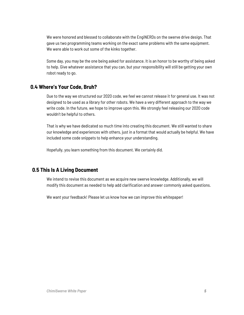We were honored and blessed to collaborate with the EngiNERDs on the swerve drive design. That gave us two programming teams working on the exact same problems with the same equipment. We were able to work out some of the kinks together.

<span id="page-5-0"></span>Some day, you may be the one being asked for assistance. It is an honor to be worthy of being asked to help. Give whatever assistance that you can, but your responsibility will still be getting your own robot ready to go.

## **0.4 Where's Your Code, Bruh?**

Due to the way we structured our 2020 code, we feel we cannot release it for general use. It was not designed to be used as a library for other robots. We have a very different approach to the way we write code. In the future, we hope to improve upon this. We strongly feel releasing our 2020 code wouldn't be helpful to others.

That is why we have dedicated so much time into creating this document. We still wanted to share our knowledge and experiences with others, just in a format that would actually be helpful. We have included some code snippets to help enhance your understanding.

<span id="page-5-1"></span>Hopefully, you learn something from this document. We certainly did.

## **0.5 This Is A Living Document**

We intend to revise this document as we acquire new swerve knowledge. Additionally, we will modify this document as needed to help add clarification and answer commonly asked questions.

We want your feedback! Please let us know how we can improve this whitepaper!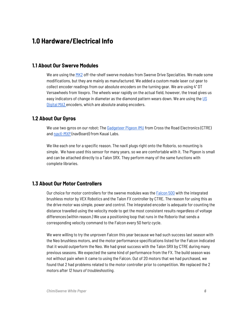# <span id="page-6-0"></span>**1.0 Hardware/Electrical Info**

## <span id="page-6-1"></span>**1.1 About Our Swerve Modules**

We are using the [MK2](http://www.swervedrivespecialties.com/) off-the-shelf swerve modules from Swerve Drive Specialties. We made some modifications, but they are mainly as manufactured. We added a custom made laser cut gear to collect encoder readings from our absolute encoders on the turning gear. We are using 4" DT Versawheels from Vexpro. The wheels wear rapidly on the actual field, however, the tread gives us easy indicators of change in diameter as the diamond pattern wears down. We are using the [US](https://www.usdigital.com/products/encoders/absolute/magnetic/MA3) [Digital](https://www.usdigital.com/products/encoders/absolute/magnetic/MA3) MA3 encoders, which are absolute analog encoders.

## <span id="page-6-2"></span>**1.2 About Our Gyros**

We use two gyros on our robot; The [Gadgeteer](http://www.ctr-electronics.com/gadgeteer-imu-module-pigeon.html) Pigeon IMU from Cross the Road Electronics (CTRE) and [navX-MXP](https://www.kauailabs.com/store/index.php?route=product/product&product_id=56) (navBoard) from Kauai Labs.

We like each one for a specific reason. The navX plugs right onto the Roborio, so mounting is simple. We have used this sensor for many years, so we are comfortable with it. The Pigeon is small and can be attached directly to a Talon SRX. They perform many of the same functions with complete libraries.

## <span id="page-6-3"></span>**1.3 About Our Motor Controllers**

Our choice for motor controllers for the swerve modules was the [Falcon](https://www.vexrobotics.com/217-6515.html) 500 with the integrated brushless motor by VEX Robotics and the Talon FX controller by CTRE. The reason for using this as the drive motor was simple, power and control. The integrated encoder is adequate for counting the distance travelled using the velocity mode to get the most consistent results regardless of voltage differences (within reason.) We use a positioning loop that runs in the Roborio that sends a corresponding velocity command to the Falcon every 50 hertz cycle.

We were willing to try the unproven Falcon this year because we had such success last season with the Neo brushless motors, and the motor performance specifications listed for the Falcon indicated that it would outperform the Neo. We had great success with the Talon SRX by CTRE during many previous seasons. We expected the same kind of performance from the FX. The build season was not without pain when it came to using the Falcon. Out of 20 motors that we had purchased, we found that 2 had problems related to the motor controller prior to competition. We replaced the 2 motors after *12 hours of troubleshooting*.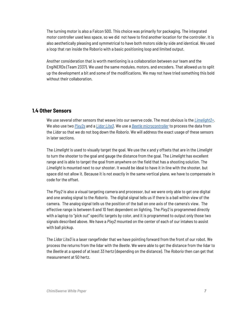The turning motor is also a Falcon 500. This choice was primarily for packaging. The integrated motor controller used less space, so we did not have to find another location for the controller. It is also aesthetically pleasing and symmetrical to have both motors side by side and identical. We used a loop that ran inside the Roborio with a basic positioning loop and limited output.

Another consideration that is worth mentioning is a collaboration between our team and the EngiNERDs (Team 2337). We used the same modules, motors, and encoders. That allowed us to split up the development a bit and some of the modifications. We may not have tried something this bold without their collaboration.

## <span id="page-7-0"></span>**1.4 Other Sensors**

We use several other sensors that weave into our swerve code. The most obvious is the *[Limelight2+](https://limelightvision.io/)*. We also use two *[Pixy2s](https://pixycam.com/pixy2/)* and a *Lidar [Lite3](https://buy.garmin.com/en-US/US/p/557294)*. We use a *Beetle [microcontroller](https://www.dfrobot.com/product-1075.html)* to process the data from the *Lidar* so that we do not bog down the *Roborio*. We will address the exact usage of these sensors in later sections.

The *Limelight* is used to visually target the goal. We use the x and y offsets that are in the *Limelight* to turn the shooter to the goal and gauge the distance from the goal. The *Limelight* has excellent range and is able to target the goal from anywhere on the field that has a shooting solution. The *Limelight* is mounted next to our shooter. It would be ideal to have it in line with the shooter, but space did not allow it. Because it is not exactly in the same vertical plane, we have to compensate in code for the offset.

The *Pixy2* is also a visual targeting camera and processor, but we were only able to get one digital and one analog signal to the *Roborio*. The digital signal tells us if there is a ball within view of the camera. The analog signal tells us the position of the ball on one axis of the camera's view. The effective range is between 6 and 10 feet dependent on lighting. The *Pixy2* is programmed directly with a laptop to "pick out" specific targets by color, and it is programmed to output only those two signals described above. We have a *Pixy2* mounted on the center of each of our intakes to assist with ball pickup.

The *Lidar Lite3* is a laser rangefinder that we have pointing forward from the front of our robot. We process the returns from the lidar with the *Beetle*. We were able to get the distance from the lidar to the *Beetle* at a speed of at least 33 hertz (depending on the distance). The *Roborio* then can get that measurement at 50 hertz.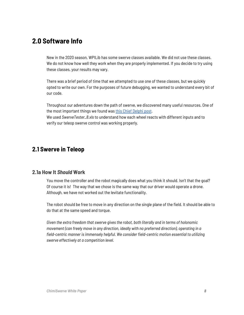# <span id="page-8-0"></span>**2.0 Software Info**

New in the 2020 season, WPILib has some swerve classes available. We did not use these classes. We do not know how well they work when they are properly implemented. If you decide to try using these classes, your results may vary.

There was a brief period of time that we attempted to use one of these classes, but we quickly opted to write our own. For the purposes of future debugging, we wanted to understand every bit of our code.

Throughout our adventures down the path of swerve, we discovered many useful resources. One of the most important things we found was this Chief [Delphi](https://www.chiefdelphi.com/t/paper-4-wheel-independent-drive-independent-steering-swerve/107383) post. We used *SwerveTester\_8.xls* to understand how each wheel reacts with different inputs and to verify our teleop swerve control was working properly.

# <span id="page-8-1"></span>**2.1 Swerve in Teleop**

## **2.1a How It** *Should* **Work**

<span id="page-8-2"></span>You move the controller and the robot magically does what you think it should. Isn't that the goal? Of course it is! The way that we chose is the same way that our driver would operate a drone. Although, we have not worked out the levitate functionality.

The robot should be free to move in any direction on the single plane of the field. It should be able to do that at the same speed and torque.

*Given the extra freedom that swerve gives the robot, both literally and in terms of holonomic movement (can freely move in any direction, ideally with no preferred direction), operating in a field-centric manner is immensely helpful. We consider field-centric motion essential to utilizing swerve effectively at a competition level.*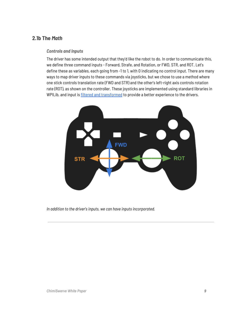## <span id="page-9-0"></span>**2.1b The** *Math*

#### <span id="page-9-1"></span>*Controls and Inputs*

The driver has some intended output that they'd like the robot to do. In order to communicate this, we define three command inputs - Forward, Strafe, and Rotation, or FWD, STR, and ROT. Let's define these as variables, each going from -1 to 1, with 0 indicating no control input. There are many ways to map driver inputs to these commands via joysticks, but we chose to use a method where one stick controls translation rate (FWD and STR) and the other's left-right axis controls rotation rate (ROT), as shown on the controller. These joysticks are implemented using standard libraries in WPILib, and input is filtered and [transformed](#page-38-1) to provide a better experience to the drivers.



*In addition to the driver's inputs, we can have inputs incorporated.*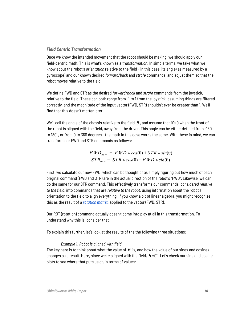#### *Field Centric Transformation*

Once we know the intended movement that the robot should be making, we should apply our field-centric math. This is what's known as a *transformation*. In simple terms, we take what we know about the robot's *orientation* relative to the field - in this case, its angle (as measured by a gyroscope) and our known desired *forward/back* and *strafe* commands, and adjust them so that the robot moves relative to the field.

We define FWD and STR as the desired *forward/back* and *strafe* commands from the joystick, relative to the field. These can both range from -1 to 1 from the joystick, assuming things are filtered correctly, and the magnitude of the input vector (FWD, STR) shouldn't ever be greater than 1. We'll find that this doesn't matter later.

We'll call the angle of the chassis relative to the field  $\theta$ , and assume that it's 0 when the front of the robot is aligned with the field, away from the driver. This angle can be either defined from -180° to 180°, or from 0 to 360 degrees - the math in this case works the same. With these in mind, we can transform our FWD and STR commands as follows:

$$
FWD_{new} = FWD * cos(\theta) + STR * sin(\theta)
$$
  

$$
STR_{new} = STR * cos(\theta) - FWD * sin(\theta)
$$

First, we calculate our new FWD, which can be thought of as simply figuring out how much of each original command (FWD and STR) are in the actual direction of the robot's "FWD". Likewise, we can do the same for our STR command. This effectively transforms our commands, *considered relative to the field*, into commands that are *relative to the robot*, using information about the robot's orientation to the field to align everything. If you know a bit of linear algebra, you might recognize this as the result of a *[rotation](https://en.wikipedia.org/wiki/Rotation_matrix) matrix*, applied to the vector (FWD, STR).

Our ROT (rotation) command actually doesn't come into play at all in this transformation. To understand why this is, consider that

To explain this further, let's look at the results of the the following three situations:

#### *Example 1: Robot is aligned with field*

The key here is to think about what the value of  $\theta$  is, and how the value of our sines and cosines changes as a result. Here, since we're aligned with the field,  $\theta = 0^\circ$ . Let's check our sine and cosine plots to see where that puts us at, in terms of values: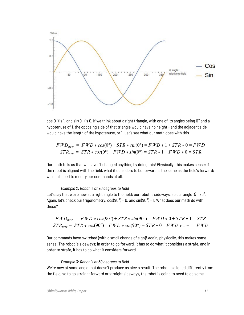

 $cos(0^{\circ})$  is 1, and  $sin(0^{\circ})$  is 0. If we think about a right triangle, with one of its angles being  $0^{\circ}$  and a hypotenuse of 1, the opposing side of that triangle would have no height - and the adjacent side would have the length of the hypotenuse, or 1. Let's see what our math does with this.

$$
FWDnew = FWD * cos(0°) + STR * sin(0°) = FWD * 1 + STR * 0 = FWD
$$
  

$$
STRnew = STR * cos(0°) - FWD * sin(0°) = STR * 1 - FWD * 0 = STR
$$

Our math tells us that we haven't changed anything by doing this! Physically, this makes sense; if the robot is aligned with the field, what it considers to be forward is the same as the field's forward; we don't need to modify our commands at all.

#### *Example 2: Robot is at 90 degrees to field*

Let's say that we're now at a right angle to the field; our robot is sideways, so our angle  $\theta$ =90°. Again, let's check our trigonometry.  $cos(90^\circ) = 0$ , and  $sin(90^\circ) = 1$ . What does our math do with these?

$$
FWD_{new} = FWD * cos(90^\circ) + STR * sin(90^\circ) = FWD * 0 + STR * 1 = STR
$$
  

$$
STR_{new} = STR * cos(90^\circ) - FWD * sin(90^\circ) = STR * 0 - FWD * 1 = - FWD
$$

Our commands have switched (with a small change of sign)! Again, physically, this makes some sense. The robot is sideways; in order to go forward, it has to do what it considers a strafe, and in order to strafe, it has to go what it considers forward.

#### *Example 3: Robot is at 30 degrees to field*

We're now at some angle that doesn't produce as nice a result. The robot is aligned differently from the field, so to go straight forward or straight sideways, the robot is going to need to do some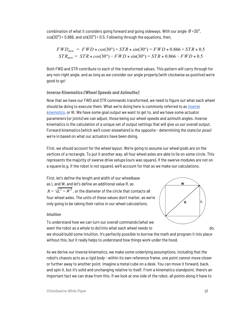combination of what it considers going forward and going sideways. With our angle  $\theta$ =30°,  $cos(30^\circ)$  = 0.866, and  $sin(30^\circ)$  = 0.5. Following through the equations, then,

$$
FWD_{new} = FWD * cos(30^{\circ}) + STR * sin(30^{\circ}) = FWD * 0.866 + STR * 0.5
$$
  

$$
STR_{new} = STR * cos(30^{\circ}) - FWD * sin(30^{\circ}) = STR * 0.866 - FWD * 0.5
$$

Both FWD and STR contribute to each of the transformed values. This pattern will carry through for any non-right angle, and as long as we consider our angle properly (with clockwise as positive) we're good to go!

#### <span id="page-12-0"></span>*Inverse Kinematics (Wheel Speeds and Azimuths)*

Now that we have our FWD and STR commands transformed, we need to figure out what each wheel should be doing to execute them. What we're doing here is commonly referred to as *[inverse](https://en.wikipedia.org/wiki/Inverse_kinematics) [kinematics](https://en.wikipedia.org/wiki/Inverse_kinematics)*, or IK. We have some goal output we want to get to, and we have some actuator parameters (or joints) we can adjust, those being our wheel speeds and azimuth angles. Inverse kinematics is the calculation of a unique set of output settings that will give us our overall output. Forward kinematics (which we'll cover elsewhere) is the opposite - determining the state (or *pose)* we're in based on what our actuators have been doing.

First, we should account for the wheel layout. We're going to assume our wheel pods are on the vertices of a rectangle. To put it another way, all four wheel axles are able to lie on some circle. This represents the majority of swerve drive setups (ours was square). If the swerve modules are not on a square (e.g. if the robot is not square), we'll account for that as we make our calculations.

First, let's define the length and width of our wheelbase as L and W, and let's define an additional value R, as  $R=\sqrt{L^2+W^2}$  , or the diameter of the circle that contacts all four wheel axles. The units of these values don't matter, as we're only going to be taking their ratios in our wheel calculations.

To understand how we can turn our overall commands (what we

#### <span id="page-12-1"></span>*Intuition*

W L  $\overline{\mathsf{R}}$ want the robot as a whole to do) into what each wheel needs to do,

we should build some intuition. It's perfectly possible to borrow the math and program it into place without this, but it really helps to understand how things work under the hood.

As we derive our inverse kinematics, we make some underlying assumptions, including that the robot's chassis acts as a *rigid body* - within its own reference frame, one point cannot move closer or further away to another point. Imagine a metal cube on a desk. You can move it forward, back, and spin it, but it's solid and unchanging relative to itself. From a kinematics standpoint, there's an important fact we can draw from this. If we look at one side of the robot, all points along it have to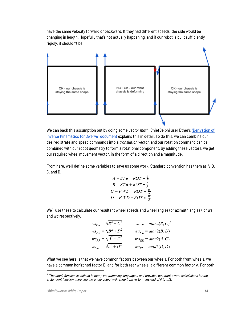have the same velocity forward or backward. If they had different speeds, the side would be changing in length. Hopefully that's not actually happening, and if our robot is built sufficiently rigidly, it shouldn't be.



We can back this assumption out by doing some *vector math*. ChiefDelphi user Ether's ["Derivation](https://www.chiefdelphi.com/t/paper-4-wheel-independent-drive-independent-steering-swerve/107383) of Inverse [Kinematics](https://www.chiefdelphi.com/t/paper-4-wheel-independent-drive-independent-steering-swerve/107383) for Swerve" document explains this in detail. To do this, we can combine our desired strafe and speed commands into a *translation vector*, and our rotation command can be combined with our robot geometry to form a rotational component. By adding these vectors, we get our required wheel movement vector, in the form of a direction and a magnitude.

From here, we'll define some variables to save us some work. Standard convention has them as A, B, C, and D.

$$
A = STR - ROT * \frac{L}{R}
$$
  
\n
$$
B = STR + ROT * \frac{L}{R}
$$
  
\n
$$
C = FWD - ROT * \frac{W}{R}
$$
  
\n
$$
D = FWD + ROT * \frac{W}{R}
$$

We'll use these to calculate our resultant wheel speeds and wheel angles (or azimuth angles), or *ws* and *wa* respectively.

| $ws_{FR} = \sqrt{B^2 + C^2}$ | $wa_{FR} = \frac{atan2(B, C)}{B}$ |
|------------------------------|-----------------------------------|
| $ws_{FL} = \sqrt{B^2 + D^2}$ | $wa_{FL} = \frac{atan2(B, D)}{2}$ |
| $ws_{RR} = \sqrt{A^2 + C^2}$ | $wa_{RR} = \frac{atan2(A, C)}{B}$ |
| $ws_{RL} = \sqrt{A^2 + D^2}$ | $wa_{RL} = \frac{atan2(D, D)}{2}$ |

What we see here is that we have common factors between our wheels. For both front wheels, we have a common horizontal factor B, and for both rear wheels, a different common factor A. For both

<sup>1</sup> *The atan2 function is defined in many programming languages, and provides quadrant-aware calculations for the arctangent function, meaning the angle output will range from -π to π, instead of 0 to π/2.*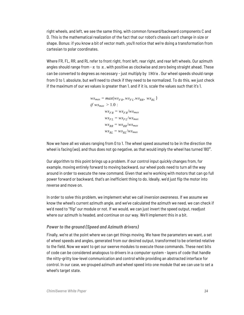right wheels, and left, we see the same thing, with common forward/backward components C and D. This is the mathematical realization of the fact that our robot's chassis can't change in size or shape. Bonus: if you know a bit of vector math, you'll notice that we're doing a transformation from cartesian to polar coordinates.

Where FR, FL, RR, and RL refer to front right, front left, rear right, and rear left wheels. Our azimuth angles should range from - $\pi$  to  $\pi$ , with positive as clockwise and zero being straight ahead. These can be converted to degrees as necessary - just multiply by  $180/\pi$ . Our wheel speeds should range from 0 to 1, absolute, but we'll need to check if they need to be normalized. To do this, we just check if the maximum of our *ws* values is greater than 1, and if it is, scale the values such that it's 1.

$$
ws_{max} = max(ws_{FR}, ws_{FL}.ws_{RR}, ws_{RL})
$$
  
if  $ws_{max} > 1.0$ :  

$$
ws_{FR} = ws_{FR}/ws_{max}
$$
  

$$
ws_{FL} = ws_{FL}/ws_{max}
$$
  

$$
ws_{RR} = ws_{RR}/ws_{max}
$$
  

$$
ws_{RL} = ws_{RL}/ws_{max}
$$

Now we have all *ws* values ranging from 0 to 1. The wheel speed assumed to be in the direction the wheel is facing (*wa*), and thus does not go negative, as that would imply the wheel has turned 180°.

Our algorithm to this point brings up a problem. If our control input quickly changes from, for example, moving entirely forward to moving backward, our wheel pods need to turn all the way around in order to execute the new command. Given that we're working with motors that can go full power forward or backward, that's an inefficient thing to do. Ideally, we'd just flip the motor into reverse and move on.

In order to solve this problem, we implement what we call *inversion awareness*. If we assume we know the wheel's current azimuth angle, and we've calculated the azimuth we need, we can check if we'd need to "flip" our module or not. If we would, we can just invert the speed output, readjust where our azimuth is headed, and continue on our way. We'll implement this in a bit.

#### <span id="page-14-0"></span>*Power to the ground (Speed and Azimuth drivers)*

Finally, we're at the point where we can get things moving. We have the parameters we want, a set of wheel speeds and angles, generated from our desired output, transformed to be oriented relative to the field. Now we want to get our swerve modules to execute those commands. These next bits of code can be considered analogous to drivers in a computer system - layers of code that handle the nitty-gritty low-level communication and control while providing an abstracted interface for control. In our case, we grouped azimuth and wheel speed into one module that we can use to set a wheel's target state.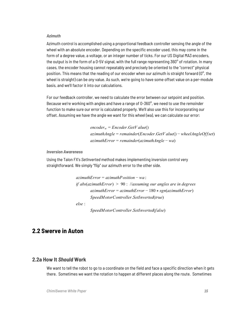#### <span id="page-15-0"></span>*Azimuth*

Azimuth control is accomplished using a proportional feedback controller sensing the angle of the wheel with an absolute encoder. Depending on the specific encoder used, this may come in the form of a degree value, a voltage, or an integer number of ticks. For our US Digital MA3 encoders, the output is in the form of a 0-5V signal, with the full range representing 360 $^{\circ}$  of rotation. In many cases, the encoder housing cannot repeatably and precisely be oriented to the "correct" physical position. This means that the reading of our encoder when our azimuth is straight forward ( $0^{\circ}$ , the wheel is straight) can be *any* value. As such, we're going to have some offset value on a per-module basis, and we'll factor it into our calculations.

For our feedback controller, we need to calculate the error between our setpoint and position. Because we're working with angles and have a range of 0-360°, we need to use the *remainder* function to make sure our error is calculated properly. We'll also use this for incorporating our offset. Assuming we have the angle we want for this wheel (wa), we can calculate our error:

> *encoder<sup>w</sup>* = *Encoder*.*GetV alue*() *azimuthAngle* = *remainder*(*Encoder*.*GetV alue*() − *wheelAngleOffset*) *azimuthError* = *remainder*(*azimuthAngle* − *wa*)

#### <span id="page-15-1"></span>*Inversion Awareness*

Using the Talon FX's *SetInverted* method makes implementing inversion control very straightforward. We simply "flip" our azimuth error to the other side.

```
azimuthError = azimuthPosition − wa ;
if abs(azimuthError) > 90 : //assuming our angles are in degrees
       azimuthError = azimuthError − 180 * sgn(azimuthError)
       SpeedMotorController.SetInverted(true)
else :
```
*SpeedMotorController*.*SetInverted*(*false*)

# <span id="page-15-2"></span>**2.2 Swerve in Auton**

## **2.2a How It** *Should* **Work**

<span id="page-15-3"></span>We want to tell the robot to go to a coordinate on the field and face a specific direction when it gets there. Sometimes we want the rotation to happen at different places along the route. Sometimes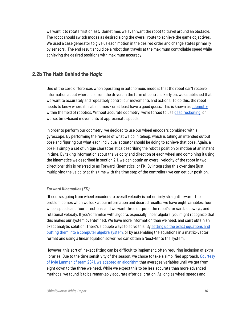we want it to rotate first or last. Sometimes we even want the robot to travel around an obstacle. The robot should switch modes as desired along the overall route to achieve the game objectives. We used a case generator to give us each motion in the desired order and change states primarily by sensors. The end result should be a robot that travels at the maximum controllable speed while achieving the desired positions with maximum accuracy.

## <span id="page-16-0"></span>**2.2b The Math Behind the** *Magic*

One of the core differences when operating in autonomous mode is that the robot can't receive information about where it is from the driver, in the form of controls. Early on, we established that we want to accurately and repeatably control our movements and actions. To do this, the robot needs to know where it is at all times - or at least have a good guess. This is known as [odometry](https://en.wikipedia.org/wiki/Odometry) within the field of robotics. Without accurate odometry, we're forced to use dead [reckoning](https://en.wikipedia.org/wiki/Dead_reckoning), or worse, time-based movements at approximate speeds.

In order to perform our odometry, we decided to use our wheel encoders combined with a gyroscope. By performing the reverse of what we do in teleop, which is taking an intended output *pose* and figuring out what each individual actuator should be doing to achieve that pose. Again, a *pose* is simply a set of unique characteristics describing the robot's position or motion at an instant in time. By taking information about the velocity and direction of each wheel and combining it using the kinematics we described in section 2.1, we can obtain an overall velocity of the robot in two directions; this is referred to as Forward Kinematics, or FK. By integrating this over time (just multiplying the velocity at this time with the time step of the controller), we can get our position.

#### <span id="page-16-1"></span>*Forward Kinematics (FK)*

Of course, going from wheel encoders to overall velocity is not entirely straightforward. The problem comes when we look at our information and desired results: we have eight variables, four wheel speeds and four directions, and we want three outputs: the robot's forward, sideways, and rotational velocity. If you're familiar with algebra, especially linear algebra, you might recognize that this makes our system overdefined. We have more information than we need, and can't obtain an exact analytic solution. There's a couple ways to solve this. By setting up the exact [equations](https://www.chiefdelphi.com/t/paper-4-wheel-independent-drive-independent-steering-swerve/107383) and putting them into a [computer](https://www.chiefdelphi.com/t/paper-4-wheel-independent-drive-independent-steering-swerve/107383) algebra system, or by assembling the equations in a matrix-vector format and using a linear equation solver, we can obtain a "best-fit" to the system.

However, this sort of inexact fitting can be difficult to implement, often requiring inclusion of extra libraries. Due to the time sensitivity of the season, we chose to take a simplified approach. [Courtesy](https://www.chiefdelphi.com/t/calculating-odometry-of-a-swerve-drive/160043/6) of Kyle Lanman of team 2841, we adapted an [algorithm](https://www.chiefdelphi.com/t/calculating-odometry-of-a-swerve-drive/160043/6) that averages variables until we get from eight down to the three we need. While we expect this to be less accurate than more advanced methods, we found it to be remarkably accurate after calibration. As long as wheel speeds and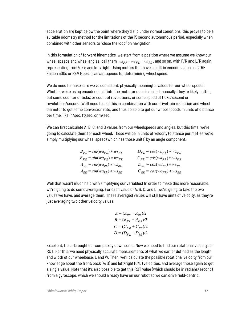acceleration are kept below the point where they'd slip under normal conditions, this proves to be a suitable odometry method for the limitations of the 15 second autonomous period, especially when combined with other sensors to "close the loop" on navigation.

In this formulation of forward kinematics, we start from a position where we assume we know our wheel speeds and wheel angles; call them  $ws_{FR}$ ,  $ws_{FL}$ ,  $wa_{RL}$ , and so on, with F/R and L/R again representing front/rear and left/right. Using motors that have a built in encoder, such as CTRE Falcon 500s or REV Neos, is advantageous for determining wheel speed.

We do need to make sure we've consistent, physically meaningful values for our wheel speeds. Whether we're using encoders built into the motor or ones installed manually, they're likely putting out some counter of ticks, or count of revolutions, or some speed of ticks/second or revolutions/second. We'll need to use this in combination with our drivetrain reduction and wheel diameter to get some conversion rate, and thus be able to get our wheel speeds in units of distance per time, like in/sec, ft/sec, or m/sec.

We can first calculate A, B, C, and D values from our wheelspeeds and angles, but this time, we're going to calculate them for each wheel. These will be in units of velocity (distance per me), as we're simply multiplying our wheel speed (which has those units) by an angle component.

| $B_{FL} = \sin(w a_{FL}) * w s_{FL}$ | $D_{FL} = cos(w a_{FL}) * ws_{FL}$  |
|--------------------------------------|-------------------------------------|
| $B_{FR} = \sin(w a_{FR}) * w s_{FR}$ | $C_{FR} = cos(w a_{FR}) * w s_{FR}$ |
| $A_{RL} = \sin(w a_{RL}) * w s_{RL}$ | $D_{RL} = cos(w a_{RL}) * w s_{RL}$ |
| $A_{RR}$ = $sin(wa_{RR}) * ws_{RR}$  | $C_{RR} = cos(w a_{FR}) * w s_{RR}$ |

Well that wasn't much help with simplifying our variables! In order to make this more reasonable, we're going to do some averaging. For each value of A, B, C, and D, we're going to take the two values we have, and average them. These averaged values will still have units of velocity, as they're just averaging two other velocity values.

$$
A = (A_{RR} + A_{RL})/2
$$
  
\n
$$
B = (B_{FL} + A_{FR})/2
$$
  
\n
$$
C = (C_{FR} + C_{RR})/2
$$
  
\n
$$
D = (D_{FL} + D_{RL})/2
$$

Excellent, that's brought our complexity down some. Now we need to find our rotational velocity, or ROT. For this, we need physically accurate measurements of what we earlier defined as the length and width of our wheelbase, L and W. Then, we'll calculate the possible rotational velocity from our knowledge about the front/back (A/B) and left/right (C/D) velocities, and average those again to get a single value. Note that it's also possible to get this ROT value (which should be in radians/second) from a gyroscope, which we should already have on our robot so we can drive field-centric.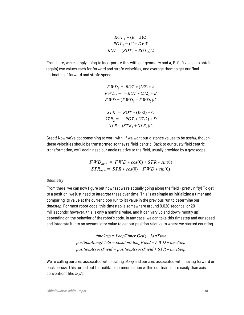$$
ROT1 = (B - A)/L
$$
  
 
$$
ROT2 = (C - D)/W
$$
  
 
$$
ROT = (ROT1 + NOT2)/2
$$

From here, we're simply going to incorporate this with our geometry and A, B, C, D values to obtain (again) two values each for forward and strafe velocities, and average them to get our final estimates of forward and strafe speed.

$$
FWD_1 = ROT * (L/2) + A
$$
  
\n
$$
FWD_2 = -ROT * (L/2) + B
$$
  
\n
$$
FWD = (FWD_1 + FWD_2)/2
$$
  
\n
$$
STR_1 = ROT * (W/2) + C
$$
  
\n
$$
STR_2 = -ROT * (W/2) + D
$$
  
\n
$$
STR = (STR_1 + STR_2)/2
$$

Great! Now we've got something to work with. If we want our distance values to be *useful*, though, these velocities should be transformed so they're field-centric. Back to our trusty field centric transformation, we'll again need our angle relative to the field, usually provided by a gyroscope.

$$
FWD_{new} = FWD * cos(\theta) + STR * sin(\theta)
$$
  

$$
STR_{new} = STR * cos(\theta) - FWD * sin(\theta)
$$

#### <span id="page-18-0"></span>*Odometry*

From there, we can now figure out how fast we're actually going along the field - pretty nifty! To get to a position, we just need to *integrate* these over time. This is as simple as initializing a timer and comparing its value at the current loop run to its value in the previous run to determine our *timestep*. For most robot code, this timestep is somewhere around 0.020 seconds, or 20 milliseconds; however, this is only a nominal value, and it can vary up and down (mostly up) depending on the behavior of the robot's code. In any case, we can take this timestep and our speed and integrate it into an accumulator value to get our position relative to where we started counting.

> *timeStep* = *LoopTimer*.*Get*() − *lastTime positionAlongField* = *positionAlongField* + *F WD* \* *timeStep positionAcrossField* = *positionAcrossField* + *STR* \* *timeStep*

We're calling our axis associated with strafing *along* and our axis associated with moving forward or back *across.* This turned out to facilitate communication within our team more easily than axis conventions like *x/y/z.*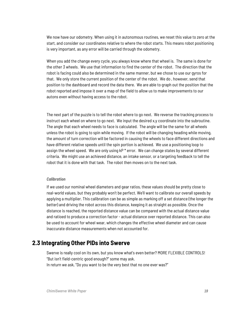We now have our odometry. When using it in autonomous routines, we reset this value to zero at the start, and consider our coordinates relative to where the robot starts. This means robot positioning is very important, as any error will be carried through the odometry.

When you add the change every cycle, you always know where that wheel is. The same is done for the other 3 wheels. We use that information to find the center of the robot. The direction that the robot is facing could also be determined in the same manner, but we chose to use our gyros for that. We only store the current position of the center of the robot. We do , however, send that position to the dashboard and record the data there. We are able to graph out the position that the robot reported and impose it over a map of the field to allow us to make improvements to our autons even without having access to the robot.

The next part of the puzzle is to tell the robot where to go next. We reverse the tracking process to instruct each wheel on where to go next. We input the desired x,y coordinate into the subroutine. The angle that each wheel needs to face is calculated. The angle will be the same for all wheels unless the robot is going to spin while moving. If the robot will be changing heading while moving, the amount of turn correction will be factored in causing the wheels to face different directions and have different relative speeds until the spin portion is achieved. We use a positioning loop to assign the wheel speed. We are only using kP \* error. We can change states by several different criteria. We might use an achieved distance, an intake sensor, or a targeting feedback to tell the robot that it is done with that task. The robot then moves on to the next task.

#### <span id="page-19-0"></span>*Calibration*

If we used our nominal wheel diameters and gear ratios, these values should be pretty close to real-world values, but they probably won't be perfect. We'll want to calibrate our overall speeds by applying a multiplier. This calibration can be as simple as marking off a set distance (the longer the better) and driving the robot across this distance, keeping it as straight as possible. Once the distance is reached, the reported distance value can be compared with the actual distance value and ratioed to produce a correction factor - actual distance over reported distance. This can also be used to account for wheel wear, which changes the effective wheel diameter and can cause inaccurate distance measurements when not accounted for.

## <span id="page-19-1"></span>**2.3 Integrating Other PIDs into Swerve**

Swerve is really cool on its own, but you know what's even better? MORE FLEXIBLE CONTROLS! "But isn't field-centric good enough?" some may ask. In return we ask, "Do you want to be the very best that no one ever was?"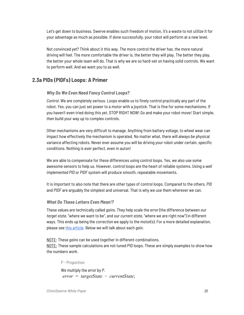Let's get down to business. Swerve enables such freedom of motion, it's a waste to not utilize it for your advantage as much as possible. If done successfully, your robot will perform at a new level.

Not convinced yet? Think about it this way. The more control the driver has, the more natural driving will feel. The more comfortable the driver is, the better they will play. The better they play, the better your whole team will do. That is why we are so hard-set on having solid controls. We want to perform well. And we want you to as well.

## <span id="page-20-0"></span>**2.3a PIDs (PIDFs) Loops: A Primer**

## <span id="page-20-1"></span>*Why Do We Even Need Fancy Control Loops?*

*Control*. We are completely serious. Loops enable us to finely control practically any part of the robot. Yes, you can just set power to a motor with a joystick. That is fine for some mechanisms. If you haven't even tried doing this yet, STOP RIGHT NOW! Go and make your robot move! Start simple, then build your way up to complex controls.

Other mechanisms are very difficult to manage. Anything from battery voltage, to wheel wear can impact how effectively the mechanism is operated. No matter what, there will always be physical variance affecting robots. Never ever assume you will be driving your robot under certain, specific conditions. Nothing is ever perfect, even in auton!

We are able to compensate for these differences using control loops. Yes, we also use some awesome sensors to help us. However, control loops are the heart of reliable systems. Using a *well implemented PID* or *PIDF* system will produce smooth, repeatable movements.

It is important to also note that there are other types of control loops. Compared to the others, *PID* and *PIDF* are arguably the simplest and universal. That is why we use them wherever we can.

#### <span id="page-20-2"></span>*What Do These Letters Even Mean!?*

These values are technically called *gains*. They help scale the *error* (the difference between our *target state*, "where we want to be", and our *current state*, "where we are right now") in different ways. This ends up being the *correction* we apply to the motor(s). For a more detailed explanation, please see this [article](https://en.wikipedia.org/wiki/PID_controller#Control_loop_example). Below we will talk about each *gain*.

NOTE: These *gains* can be used together in different combinations.

<span id="page-20-3"></span>NOTE: These sample calculations are not tuned PID loops. These are simply examples to show how the numbers work.

## P - Proportion We multiply the *error* by *P*. *error* = *targetState* − *currentState*;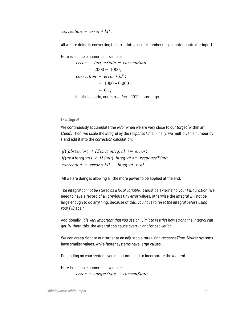$correction = error * kP$ ;

All we are doing is converting the error into a useful number (e.g. a motor controller input).

Here is a simple numerical example:

*error* = *targetState* − *currentState*;  $= 2000 - 1000$ ;  $correction = error * kP;$  $= 1000 * 0.0001;$  $= 0.1$ ;

In this scenario, our *correction* is 10% motor output.

#### <span id="page-21-0"></span>*I - Integral*

We continuously accumulate the *error* when we are very close to our *target* (within an *IZone*). Then, we scale the *integral* by the *responseTime*. Finally, we multiply this number by *I* and add it into the *correction* calculation.

*if*((*abs*(*error*) < *IZone*) *integral* += *error*; *if*(*abs*(*integral*) > *ILimit*) *integral* \*= *responseTime*;  $correction = error * kP + integral * kI;$ 

All we are doing is allowing a little more power to be applied at the end.

*The integral cannot be stored as a local variable*. It must be external to your *PID* function. We need to have a record of all previous tiny *error* values, otherwise the *integral* will not be large enough to do anything. Because of this, *you have to reset the integral before using your PID* again*.*

Additionally, *it is very important that you use an ILimit to restrict how strong the integral can get*. Without this, the *integral* can cause *overrun* and/or *oscillation*.

We can creep right to our target at an adjustable rate using *responseTime*. Slower systems have smaller values, while faster systems have large values.

Depending on your system, you might not need to incorporate the *integral*.

Here is a simple numerical example:

*error* = *targetState* − *currentState*;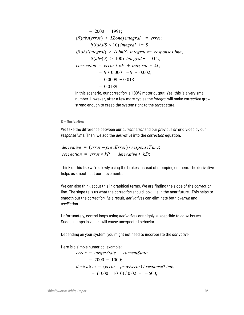$$
= 2000 - 1991;
$$
  
\nif((abs(error) < IZone) integral += error;  
\nif((abs(9 < 10) integral += 9;  
\nif(abs(integral) > ILimit) integral \*= responseTime;  
\nif(abs(9) > 100) integral \*= 0.02;  
\ncorrection = error \* kP + integral \* kI;  
\n= 9 \* 0.0001 + 9 \* 0.002;  
\n= 0.0009 + 0.018 ;  
\n= 0.0189 ;

In this scenario, our *correction* is 1.89% motor output. Yes, this is a very small number. However, after a few more cycles the *integral* will make *correction* grow strong enough to creep the system right to the *target state*.

#### <span id="page-22-0"></span>*D - Derivative*

We take the difference between our *current error* and our *previous error* divided by our *responseTime*. Then, we add the *derivative* into the *correction* equation.

```
derivative = (error – prevError) / responseTime;
correction = error * kP + derivative * kD;
```
Think of this like we're slowly using the brakes instead of stomping on them. The derivative helps us smooth out our movements.

We can also think about this in graphical terms. We are finding the slope of the *correction* line. The slope tells us what the *correction* should look like in the near future. This helps to smooth out the *correction*. As a result, *derivatives* can eliminate both *overrun* and *oscillation*.

Unfortunately, control loops using *derivatives* are highly susceptible to *noise* issues. Sudden jumps in values will cause unexpected behaviors.

Depending on your system, you might not need to incorporate the *derivative*.

Here is a simple numerical example:

*error* = *targetState* − *currentState*;  $= 2000 - 1000$ ; *derivative* = (*error* – *prevError*) / *responseTime*;  $= (1000 - 1010) / 0.02 = -500;$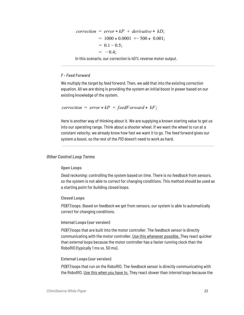$$
correction = error * kP + derivative * kD;
$$
  
= 1000 \* 0.0001 += 500 \* 0.001;  
= 0.1 - 0.5;  
= -0.4;

In this scenario, our *correction* is 40% reverse motor output.

#### <span id="page-23-0"></span>*F - Feed Forward*

We multiply the *target* by *feed forward*. Then, we add that into the existing *correction* equation. All we are doing is providing the system an initial boost in power based on our existing knowledge of the system.

```
correction = error * kP + feedForward * kF;
```
Here is another way of thinking about it. We are supplying a known starting value to get us into our operating range. Think about a shooter wheel. If we want the wheel to run at a constant velocity, we already know how fast we want it to go. The *feed forward* gives our system a boost, so the rest of the *PID* doesn't need to work as hard.

#### <span id="page-23-2"></span><span id="page-23-1"></span>*Other Control Loop Terms*

#### **Open Loops**

*Dead reckoning*: controlling the system based on *time*. There is no *feedback* from *sensors*, so the system is not able to *correct* for changing conditions. This method should be used as a starting point for building *closed loops*.

#### <span id="page-23-3"></span>**Closed Loops**

*PID(F)* loops. Based on *feedback* we get from sensors, our system is able to automatically *correct* for changing conditions.

#### <span id="page-23-4"></span>**Internal Loops (our version)**

*PID(F)* loops that are built into the motor controller. The *feedback sensor* is directly communicating with the motor controller. Use this whenever possible. They react quicker than *external loops* because the motor controller has a faster running clock than the RoboRIO (typically 1 ms vs. 50 ms).

#### <span id="page-23-5"></span>**External Loops (our version)**

*PID(F)* loops that run on the RoboRIO. The *feedback sensor* is directly communicating with the RoboRIO. Use this when you have to. They react slower than *internal loops* because the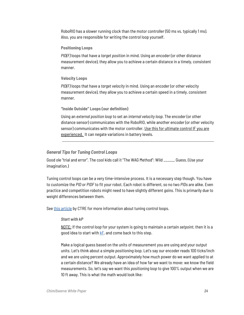RoboRIO has a slower running clock than the motor controller (50 ms vs. typically 1 ms). Also, you are responsible for writing the control loop yourself.

#### <span id="page-24-0"></span>**Positioning Loops**

*PID(F)* loops that have a *target positio*n in mind. Using an encoder (or other distance measurement device), they allow you to achieve a certain distance in a timely, consistent manner.

#### <span id="page-24-1"></span>**Velocity Loops**

*PID(F)* loops that have a *target velocity* in mind. Using an encoder (or other velocity measurement device), they allow you to achieve a certain speed in a timely, consistent manner.

#### <span id="page-24-2"></span>**"Inside Outside" Loops (our definition)**

Using an *external position loop* to set an *internal velocity loop*. The encoder (or other distance sensor) communicates with the RoboRIO, while another encoder (or other velocity sensor) communicates with the motor controller. Use this for ultimate control IF you are experienced. It can negate variations in battery levels.

#### <span id="page-24-3"></span>*General Tips for Tuning Control Loops*

Good ole "trial and error". The cool kids call it "The WAG Method": Wild \_\_\_\_\_\_ Guess. (Use your imagination.)

Tuning control loops can be a very time-intensive process. It is a necessary step though. You have to customize the *PID* or *PIDF* to fit your robot. Each robot is different, so no two *PIDs* are alike. Even practice and competition robots might need to have slightly different *gains*. This is primarily due to weight differences between them.

<span id="page-24-4"></span>See this [article](https://phoenix-documentation.readthedocs.io/en/latest/ch16_ClosedLoop.html#position-closed-loop-control-mode) by CTRE for more information about tuning control loops.

#### *Start with kP*

NOTE: If the *control loop* for your system is going to maintain a certain *setpoint*, then it is a good idea to start with kF*,* and come back to this step.

Make a logical guess based on the units of measurement you are using and your output units. Let's think about a simple *positioning loop*. Let's say our encoder reads 100 ticks/inch and we are using percent output. Approximately how much power do we want applied to at a certain distance? We already have an idea of how far we want to move: we know the field measurements. So, let's say we want this *positioning loop* to give 100% output when we are 10 ft away. This is what the math would look like: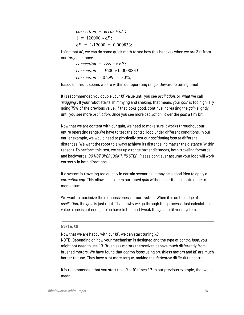$correction = error * kP$ ;  $1 = 120000 * kP$  $kP = 1/12000 = 0.000833$ ;

Using that *kP*, we can do some quick math to see how this behaves when we are 3 ft from our *target* distance.

 $correction = error * kP$ ; *correction* = 3600 \* 0.0000833; *correction* =  $0.299 = 30\%$ ;

Based on this, it seems we are within our operating range. Onward to tuning time!

It is recommended you double your *kP* value until you see *oscillation*, or what we call *"wagging"*. If your robot starts shimmying and shaking, that means your *gain* is too high. Try going 75% of the previous value. If that looks good, continue increasing the *gain* slightly until you see more *oscillation*. Once you see more *oscillation*, lower the *gain* a tiny bit.

Now that we are content with our *gain*, we need to make sure it works throughout our entire operating range.We have to test the control loop under different conditions. In our earlier example, we would need to physically test our *positioning loop* at different distances. We want the robot to always achieve its distance, no matter the distance (within reason). To perform this test, we set up a range *target* distances, both traveling forwards and backwards. *DO NOT OVERLOOK THIS STEP!* Please don't ever assume your loop will work correctly in both directions.

If a system is traveling too quickly in certain scenarios, it may be a good idea to apply a *correction cap*. This allows us to keep our tuned *gain* without sacrificing control due to momentum.

We want to maximize the responsiveness of our system. When it is on the edge of *oscillation*, the *gain* is just right. That is why we go through this process. Just calculating a value alone is not enough. You have to test and tweak the *gain* to fit your system.

#### <span id="page-25-0"></span>*Next is kD*

Now that we are happy with our *kP*, we can start tuning *kD*.

NOTE: Depending on how your mechanism is designed and the type of *control loop*, you might not need to use *kD*. Brushless motors themselves behave much differently from brushed motors. We have found that *control loops* using brushless motors and *kD* are much harder to tune. They have a lot more torque, making the *derivative* difficult to control.

It is recommended that you start the *kD* at 10 times *kP*. In our previous example, that would mean: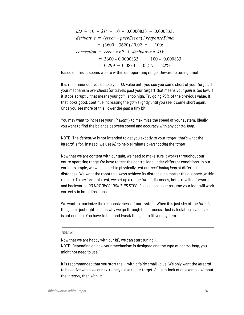$kD = 10 * kP = 10 * 0.0000833 = 0.000833$ ; *derivative* = (*error* – *prevError*) / *responseTime*;  $= (3600 - 3620) / 0.02 = -100;$  $correction = error * kP + derivative * kD;$  $= 3600 * 0.0000833 + -100 * 0.000833;$  $= 0.299 - 0.0833 = 0.217 = 22\%$ ;

Based on this, it seems we are within our operating range. Onward to tuning time!

It is recommended you double your *kD* value until you see you come short of your *target*. If your mechanism *overshoots* (or travels past your *target*), that means your *gain* is too low. If it stops abruptly, that means your *gain* is too high. Try going 75% of the previous value. If that looks good, continue increasing the *gain* slightly until you see it come short again. Once you see more of this, lower the *gain* a tiny bit.

You may want to increase your *kP slightly* to maximize the speed of your system. Ideally, you want to find the balance between speed and accuracy with any *control loop*.

NOTE: The *derivative* is not intended to get you exactly to your *target*; that's what the *integral* is for. Instead, we use *kD* to help eliminate *overshooting* the *target*.

Now that we are content with our *gain*, we need to make sure it works throughout our entire operating range.We have to test the control loop under different conditions. In our earlier example, we would need to physically test our *positioning loop* at different distances. We want the robot to always achieve its distance, no matter the distance (within reason). To perform this test, we set up a range *target* distances, both traveling forwards and backwards. *DO NOT OVERLOOK THIS STEP!* Please don't ever assume your loop will work correctly in both directions.

We want to maximize the responsiveness of our system. When it is just shy of the *target*, the *gain* is just right. That is why we go through this process. Just calculating a value alone is not enough. You have to test and tweak the *gain* to fit your system.

#### <span id="page-26-0"></span>*Then kI*

Now that we are happy with our *kD*, we can start tuning *kI*. NOTE: Depending on how your mechanism is designed and the type of *control loop*, you might not need to use *kI*.

It is recommended that you start the *kI* with a fairly small value. We only want the *integral* to be active when we are extremely close to our target. So, let's look at an example without the *integral*, then with it: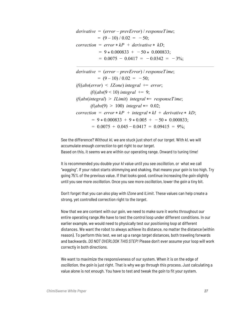*derivative* = (*error* – *prevError*) / *responseTime*;  $= (9 - 10) / 0.02 = -50;$  $correction = error * kP + derivative * kD;$  $= 9 * 0.000833 + -50 * 0.000833;$  $= 0.0075 - 0.0417 = -0.0342 = -3\%$ ;

*derivative* = (*error* – *prevError*) / *responseTime*;  $= (9 - 10) / 0.02 = -50;$  $if((abs(error) < IZone)$  *integral* += *error*; *if*((*abs*(9 < 10) *integral* += 9; *if*(*abs*(*integral*) > *ILimit*) *integral* \*= *responseTime*; *if*(*abs*(9) > 100) *integral* \*= 0.02;  $correction = error * kP + integral * kI + derivative * kD;$  $= 9 * 0.000833 + 9 * 0.005 + -50 * 0.000833;$  $= 0.0075 + 0.045 - 0.0417 = 0.09415 = 9\%$ ;

See the difference? Without *kI*, we are stuck just short of our *target*. With *kI*, we will accumulate enough *correction* to get right to our *target*. Based on this, it seems we are within our operating range. Onward to tuning time!

It is recommended you double your *kI* value until you see *oscillation*, or what we call *"wagging"*. If your robot starts shimmying and shaking, that means your *gain* is too high. Try going 75% of the previous value. If that looks good, continue increasing the *gain* slightly until you see more *oscillation*. Once you see more *oscillation*, lower the *gain* a tiny bit.

Don't forget that you can also play with *IZone* and *ILimit*. These values can help create a strong, yet controlled correction right to the *target*.

Now that we are content with our *gain*, we need to make sure it works throughout our entire operating range.We have to test the control loop under different conditions. In our earlier example, we would need to physically test our *positioning loop* at different distances. We want the robot to always achieve its distance, no matter the distance (within reason). To perform this test, we set up a range *target* distances, both traveling forwards and backwards. *DO NOT OVERLOOK THIS STEP!* Please don't ever assume your loop will work correctly in both directions.

We want to maximize the responsiveness of our system. When it is on the edge of *oscillation*, the *gain* is just right. That is why we go through this process. Just calculating a value alone is not enough. You have to test and tweak the *gain* to fit your system.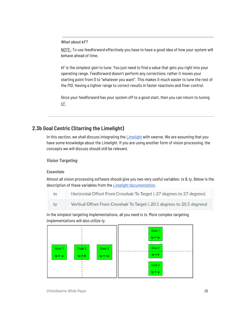<span id="page-28-0"></span>*What about kF?*

NOTE: To use *feedforward* effectively you have to have a good idea of how your system will behave ahead of time.

*kF* is the simplest *gain* to tune. You just need to find a value that gets you right into your operating range. *Feedforward* doesn't perform any *corrections*, rather it moves your starting point from 0 to "whatever you want". This makes it much easier to tune the rest of the *PID*. Having a tighter range to *correct* results in faster reactions and finer control.

Once your *feedforward* has your system off to a good start, then you can return to tuning *[kP](#page-24-4)*.

## **2.3b Goal Centric (Starring the Limelight)**

<span id="page-28-1"></span>In this section, we shall discuss integrating the *[Limelight](https://docs.limelightvision.io/en/latest/getting_started.html)* with swerve. We are assuming that you have some knowledge about the *Limelight*. If you are using another form of vision processing, the concepts we will discuss should still be relevant.

<span id="page-28-2"></span>*Vision Targeting*

#### <span id="page-28-3"></span>*Essentials*

Almost all vision processing software should give you two very useful variables: *tx* & *ty*. Below is the description of these variables from the *[Limelight](https://docs.limelightvision.io/en/latest/networktables_api.html)* [documentation](https://docs.limelightvision.io/en/latest/networktables_api.html).

| tx | Horizontal Offset From Crosshair To Target (-27 degrees to 27 degrees)   |
|----|--------------------------------------------------------------------------|
| ty | Vertical Offset From Crosshair To Target (-20.5 degrees to 20.5 degrees) |

In the simplest targeting implementations, all you need is *tx*. More complex targeting implementations will also utilize *ty*.

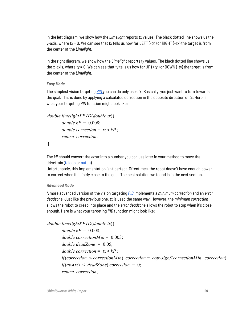In the left diagram, we show how the *Limelight* reports *tx* values. The black dotted line shows us the y-axis, where *tx* = 0. We can see that *tx* tells us how far LEFT (-*tx* ) or RIGHT (+*tx*) the target is from the center of the *Limelight.*

In the right diagram, we show how the *Limelight* reports *ty* values. The black dotted line shows us the x-axis, where *ty* = 0. We can see that *ty* tells us how far UP (+*ty* ) or DOWN (-*ty*) the target is from the center of the *Limelight.*

#### <span id="page-29-0"></span>*Easy Mode*

The simplest vision targeting *[PID](#page-20-0)* you can do only uses *tx*. Basically, you just want to turn towards the goal. This is done by applying a calculated correction in the opposite direction of *tx*. Here is what your targeting *PID* function might look like:

```
double limelightXPID(double tx){
      double k = 0.008;
      double correction = tx * kP;
      return correction;
```
}

The *kP* should convert the *error* into a number you can use later in your method to move the drivetrain ([teleop](#page-8-1) or [auton](#page-15-2)).

Unfortunately, this implementation isn't perfect. Oftentimes, the robot doesn't have enough power to correct when it is fairly close to the goal. The best solution we found is in the next section.

#### <span id="page-29-1"></span>*Advanced Mode*

A more advanced version of the vision targeting *[PID](#page-20-0)* implements a *minimum correction* and an *error deadzone*. Just like the previous one, *tx* is used the same way. However, the *minimum correction* allows the robot to creep into place and the *error deadzone* allows the robot to stop when it's close enough. Here is what your targeting *PID* function might look like:

```
double limelightXPID(double tx){
      double k = 0.008;
      double correctionMin = 0.003;
      double deadzone = 0.05;
      double correction = tx * kP;
       if(correction < correctionMin) correction = copysignf(correctionMin, correction);
      if(abs(tx) < deadZone) correction = 0;
      return correction;
```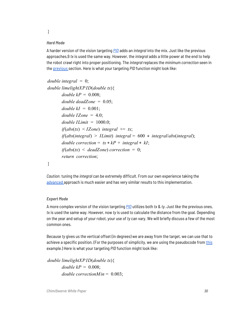}

#### <span id="page-30-0"></span>*Hard Mode*

A harder version of the vision targeting *[PID](#page-20-0)* adds an *integral* into the mix. Just like the previous approaches,9 *tx* is used the same way. However, the *integral* adds a little power at the end to help the robot crawl right into proper positioning. The *integral* replaces the *minimum correction* seen in the [previous](#page-29-1) section. Here is what your targeting *PID* function might look like:

```
double integral = 0;
double limelightXPID(double tx){
      double k = 0.008;
      double deadzone = 0.05;
      double kI = 0.001;
       double IZone = 4.0;
       double ILimit = 1000.0;
       if(abs(tx) < IZone) integral += tx;
       if(abs(integral) > ILimit) integral = 600 * integral/abs(integral);
      double correction = tx * kP + integral * kI;
       if(abs(tx) < deadZone) correction = 0;
      return correction;
```
}

*Caution*: tuning the *integral* can be extremely difficult. From our own experience taking the [advanced](#page-29-1) approach is much easier and has very similar results to this implementation.

#### <span id="page-30-1"></span>*Expert Mode*

A more complex version of the vision targeting *[PID](#page-20-0)* utilizes both *tx* & *ty*. Just like the previous ones, *tx* is used the same way. However, now *ty* is used to calculate the distance from the goal. Depending on the year and setup of your robot, your use of *ty* can vary. We will briefly discuss a few of the most common ones.

Because *ty* gives us the vertical offset (in degrees) we are away from the target, we can use that to achieve a specific position. (For the purposes of simplicity, we are using the pseudocode from [this](#page-30-0) example.) Here is what your targeting *PID* function might look like:

*double limelightXPID*(*double tx*){ *double*  $k = 0.008$ ; *double correctionMin* = 0.003;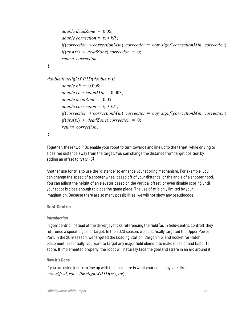```
double\ deadzone = 0.05;
double correction = tx * kP;
if(correction < correctionMin) correction = copysignf(correctionMin, correction);
if(abs(tx) < deadZone) correction = 0;
return correction;
```

```
}
```

```
double limelightY PID(double ty){
      double k = 0.008;
      double correctionMin = 0.003;
      double deadzone = 0.05;
      double correction = ty * kP;
      if(correction < correctionMin) correction = copysignf(correctionMin, correction);
      if(abs(tx) < deadZone) correction = 0;
      return correction;
```

```
}
```
Together, these two PIDs enable your robot to turn towards and line up to the target, while driving to a desired distance away from the target. You can change the distance from target position by adding an offset to *ty* (*ty - 3)*.

Another use for *ty* is to use the "distance" to enhance your scoring mechanism. For example, you can change the speed of a shooter wheel based off of your distance, or the angle of a shooter hood. You can adjust the height of an elevator based on the vertical offset, or even disable scoring until your robot is close enough to place the game piece. The use of *ty* is only limited by your imagination. Because there are so many possibilities, we will not show any pseudocode.

## <span id="page-31-0"></span>**Goal-Centric**

## <span id="page-31-1"></span>*Introduction*

In goal centric, instead of the driver joysticks referencing the field (as in field-centric control), they reference a specific goal or target. In the 2020 season, we specifically targeted the Upper Power Port. In the 2019 season, we targeted the Loading Station, Cargo Ship, and Rocket for Hatch placement. Essentially, you want to target any major field element to make it easier and faster to score. If implemented properly, the robot will naturally face the goal and strafe in an arc around it.

## <span id="page-31-2"></span>*How It's Done*

If you are using just *tx* to line up with the goal, here is what your code may look like: *move*(*fwd*,*rot* + *limelightXPID*(*tx*),*str*);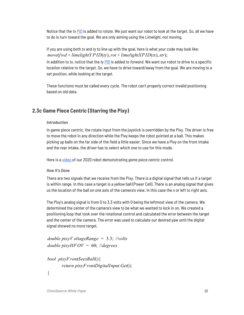Notice that the *tx [PID](#page-20-0)* is added to *rotate*. We just want our robot to look at the target. So, all we have to do is turn toward the goal. We are only aiming using the *Limelight*, not moving.

If you are using both *tx* and *ty* to line up with the goal, here is what your code may look like: *move*(*fwd* + *limelightY PID*(*ty*),*rot* + *limelightXPID*(*tx*),*str*);

In addition to *tx*, notice that the *ty [PID](#page-20-0)* is added to *forward*. We want our robot to drive to a specific location relative to the target. So, we have to drive toward/away from the goal. We are moving to a set position, while looking at the target.

These functions must be called every cycle. The robot can't properly correct invalid positioning based on old data.

## <span id="page-32-0"></span>**2.3c Game Piece Centric (Starring the Pixy)**

#### <span id="page-32-1"></span>*Introduction*

In game piece centric, the rotate input from the joystick is overridden by the Pixy. The driver is free to move the robot in any direction while the Pixy keeps the robot pointed at a ball. This makes picking up balls on the far side of the field a little easier. Since we have a Pixy on the front intake and the rear intake, the driver has to select which one to use for this mode.

<span id="page-32-2"></span>Here is a [video](https://youtu.be/VP4emc-K57k?t=42) of our 2020 robot demonstrating *game piece centric* control.

#### *How It's Done*

There are two signals that we receive from the Pixy. There is a digital signal that tells us if a target is within range. In this case a target is a yellow ball (Power Cell). There is an analog signal that gives us the location of the ball on one axis of the camera's view. In this case the x or left to right axis.

The Pixy's analog signal is from 0 to 3.3 volts with 0 being the leftmost view of the camera. We determined the center of the camera's view to be what we wanted to lock in on. We created a positioning loop that took over the rotational control and calculated the error between the target and the center of the camera. The error was used to calculate our desired yaw until the digital signal showed no more target.

```
double pixyV oltageRange = 3.3; //volts
double pixyHFOV = 60; //degrees
```

```
bool pixyFrontSeesBall(){
      return pixyFrontDigitalInput.Get();
}
```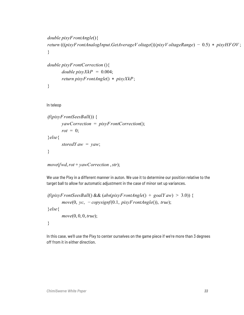```
double pixyFrontAngle(){
return (((pixyFrontAnalogInput.GetAverageV oltage())/pixyV oltageRange) − 0.5) * pixyHFOV ;
}
```

```
double pixyFrontCorrection (){
      double \, pixyXkP = 0.004;return pixyFrontAngle() * pixyXkP;
}
```
In teleop

```
if(pixyFrontSeesBall()) {
      yawCorrection = pixyFrontCorrection();
      rot = 0;
}else{
      storedY aw = yaw;
}
```
*move*(*fwd*,*rot* + *yawCorrection* ,*str*);

We use the Pixy in a different manner in auton. We use it to determine our position relative to the target ball to allow for automatic adjustment in the case of minor set up variances.

```
if(pixyFrontSeesBall() && (abs(pixyFrontAngle() + goalY aw) > 3.0)) {
      move(0, yc, − copysignf(0.1, pixyFrontAngle()), true);
}else{
      move(0, 0, 0, true);
}
```
In this case, we'll use the Pixy to center ourselves on the game piece if we're more than 3 degrees off from it in either direction.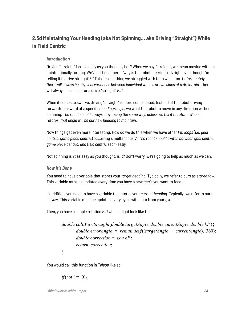# <span id="page-34-0"></span>**2.3d Maintaining Your Heading (aka Not Spinning… aka Driving "Straight") While in Field Centric**

### <span id="page-34-1"></span>*Introduction*

Driving "straight" isn't as easy as you thought, is it? When we say "straight", we mean moving without unintentionally turning. We've all been there: "why is the robot steering left/right even though I'm telling it to drive straight!?!" This is something we struggled with for a while too. *Unfortunately, there will always be physical variances between individual wheels or two sides of a drivetrain.* There will always be a need for a drive "straight" *PID*.

When it comes to swerve, driving "straight" is more complicated. Instead of the robot driving forward/backward at a specific *heading/angle*, we want the robot to move in any direction without spinning. *The robot should always stay facing the same way, unless we tell it to rotate. When it rotates, that angle will be our new heading to maintain.*

Now things get even more interesting. How do we do this when we have other *PID loops* (i.e. *goal centric*, *game piece centric*) occurring simultaneously? *The robot should switch between goal centric, game piece centric, and field centric seamlessly.*

<span id="page-34-2"></span>Not spinning isn't as easy as you thought, is it? Don't worry, we're going to help as much as we can.

#### *How It's Done*

You need to have a variable that stores your *target heading*. Typically, we refer to ours as *storedYaw*. This variable must be updated every time you have a new *angle* you want to face.

In addition, you need to have a variable that stores your *current heading*. Typically, we refer to ours as *yaw*. This variable must be updated every cycle with data from your *gyro*.

Then, you have a simple rotation *PID* which might look like this:

*double calcY awStraight*(*double targetAngle*, *double curentAngle*, *double kP*){ *double errorAngle* = *remainderf*((*targetAngle* − *currentAngle*), 360); *double correction* =  $tx * kP$ ; *return correction*;

}

You would call this function in *Teleop* like so:

*if*(*rot* ! = 0){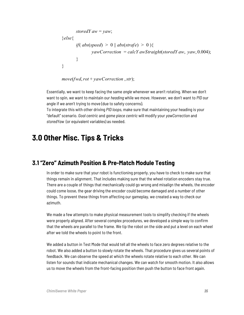```
storedY aw = vaw;
}else{
       if(abs(speed) > 0 \parallel abs(strafe) > 0)yawCorrection = calcY awStraight(storedY aw, yaw, 0.004);
       }
}
```
*move*(*fwd*,*rot* + *yawCorrection* ,*str*);

Essentially, we want to keep facing the same *angle* whenever we aren't rotating. When we don't want to spin, we want to maintain our *heading* while we move. However, we don't want to *PID* our angle if we aren't trying to move (due to safety concerns).

<span id="page-35-0"></span>To integrate this with other driving *PID loops*, make sure that maintaining your heading is your "default" scenario. *Goal centric* and *game piece centric* will modify your *yawCorrection* and *storedYaw* (or equivalent variables) as needed.

# **3.0 Other Misc. Tips & Tricks**

# <span id="page-35-1"></span>**3.1 "Zero" Azimuth Position & Pre-Match Module Testing**

In order to make sure that your robot is functioning properly, you have to check to make sure that things remain in alignment. That includes making sure that the wheel rotation encoders stay true. There are a couple of things that mechanically could go wrong and misalign the wheels, the encoder could come loose, the gear driving the encoder could become damaged and a number of other things. To prevent these things from affecting our gameplay, we created a way to check our azimuth.

We made a few attempts to make physical measurement tools to simplify checking if the wheels were properly aligned. After several complex procedures, we developed a simple way to confirm that the wheels are parallel to the frame. We tip the robot on the side and put a level on each wheel after we told the wheels to point to the front.

We added a button in Test Mode that would tell all the wheels to face zero degrees relative to the robot. We also added a button to slowly rotate the wheels. That procedure gives us several points of feedback. We can observe the speed at which the wheels rotate relative to each other. We can listen for sounds that indicate mechanical changes. We can watch for smooth motion. It also allows us to move the wheels from the front-facing position then push the button to face front again.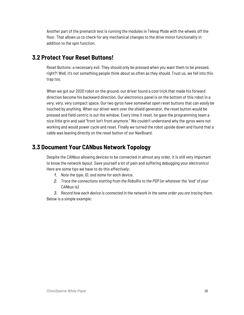Another part of the prematch test is running the modules in Teleop Mode with the wheels off the floor. That allows us to check for any mechanical changes to the drive motor functionality in addition to the spin function.

# <span id="page-36-0"></span>**3.2 Protect Your Reset Buttons!**

Reset Buttons: a necessary evil. They should only be pressed when you want them to be pressed, right?! Well, it's not something people think about as often as they should. Trust us, we fell into this trap too.

When we got our 2020 robot on the ground, our driver found a cool trick that made his forward direction become his backward direction. Our electronics panel is on the bottom of this robot in a very, very, very compact space. Our two gyros have somewhat open reset buttons that can *easily* be touched by anything. When our driver went over the shield generator, the reset button would be pressed and field centric is out the window. Every time it reset, he gave the programming team a nice little grin and said "front isn't front anymore." We couldn't understand why the gyros were not working and would power cycle and reset. Finally we turned the robot upside down and found that a cable was leaning directly on the reset button of our NavBoard.

# <span id="page-36-1"></span>**3.3 Document Your CANbus Network Topology**

Despite the CANbus allowing devices to be connected in almost any order, it is still very important to know the network layout. Save yourself a lot of pain and suffering debugging your electronics! Here are some tips we have to do this effectively:

- *1. Note the type, ID, and name for each device.*
- *2. Trace the connections starting from the RoboRio to the PDP (or whatever the "end" of your CANbus is).*

*3. Record how each device is connected in the network in the same order you are tracing them.* Below is a simple example: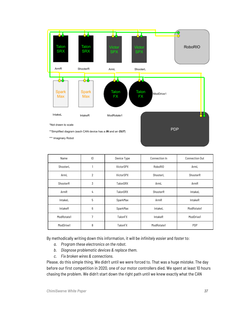

| Name       | ID             | Device Type | Connection In  | Connection Out |
|------------|----------------|-------------|----------------|----------------|
| ShooterL   |                | VictorSPX   | <b>RoboRIO</b> | ArmL           |
| ArmL       | $\overline{2}$ | VictorSPX   | ShooterL       | ShooterR       |
| ShooterR   | 3              | TalonSRX    | ArmL           | ArmR           |
| ArmR       | 4              | TalonSRX    | ShooterR       | IntakeL        |
| IntakeL    | 5              | SparkMax    | ArmR           | <b>IntakeR</b> |
| IntakeR    | 6              | SparkMax    | IntakeL        | ModRotate1     |
| ModRotate1 | 7              | TalonFX     | IntakeR        | ModDrive1      |
| ModDrive1  | 8              | TalonFX     | ModRotate1     | <b>PDP</b>     |

By methodically writing down this information, it will be *infinitely easier* and *faster* to:

- *a. Program these electronics on the robot.*
- *b. Diagnose problematic devices & replace them.*
- *c. Fix broken wires & connections.*

Please, do this simple thing. We didn't until we were forced to. That was a huge *mistake*. The day before our first competition in 2020, one of our motor controllers died. We spent at least 10 hours chasing the problem. We didn't start down the right path until we knew exactly what the CAN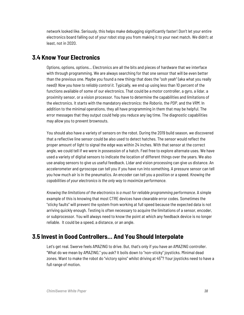network looked like. Seriously, this helps make debugging significantly faster! Don't let your entire electronics board falling out of your robot stop you from making it to your next match. We didn't; at least, not in 2020.

# <span id="page-38-0"></span>**3.4 Know Your Electronics**

Options, options, options… Electronics are all the bits and pieces of hardware that we interface with through programming. We are always searching for that one sensor that will be even better than the previous one. Maybe you found a new thingy that does the "ooh yeah" (aka what you really need)! *Now you have to reliably control it.* Typically, we end up using less than 10 percent of the functions available of some of our electronics. That could be a motor controller, a gyro, a lidar, a proximity sensor, or a vision processor. You have to determine the capabilities and limitations of the electronics. It starts with the mandatory electronics: the *Roborio*, the *PDP*, and the *VRM*. In addition to the minimal operations, they all have programming in them that may be helpful. The error messages that they output could help you reduce any lag time. The diagnostic capabilities may allow you to prevent brownouts.

You should also have a variety of sensors on the robot. During the 2019 build season, we discovered that a reflective line sensor could be also used to detect hatches. The sensor would reflect the proper amount of light to signal the edge was within 24 inches. With that sensor at the correct angle, we could tell if we were in possession of a hatch. Feel free to explore alternate uses. We have used a variety of digital sensors to indicate the location of different things over the years. We also use analog sensors to give us useful feedback. Lidar and vision processing can give us distance. An accelerometer and gyroscope can tell you if you have run into something. A pressure sensor can tell you how much air is in the pneumatics. An encoder can tell you a position or a speed. *Knowing the capabilities of your electronics is the only way to maximize performance.*

*Knowing the limitations of the electronics is a must for reliable programming performance*. A simple example of this is knowing that most CTRE devices have clearable error codes. Sometimes the "sticky faults" will prevent the system from working at full speed because the expected data is not arriving quickly enough. Testing is often necessary to acquire the limitations of a sensor, encoder, or subprocessor. You will always need to know the point at which any feedback device is no longer reliable. It could be a speed, a distance, or an angle.

# <span id="page-38-1"></span>**3.5 Invest in Good Controllers… And You Should Interpolate**

Let's get real. Swerve feels AMAZING to drive. But, that's only if you have an AMAZING controller. "What do we mean by AMAZING," you ask? It boils down to "non-sticky" joysticks. Minimal dead zones. Want to make the robot do "victory spins" whilst driving at 45°? Your joysticks need to have a full range of motion.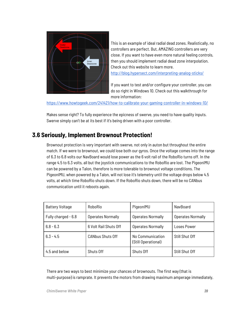

This is an example of ideal radial dead zones. Realistically, no controllers are perfect. But, AMAZING controllers are very close. If you want to have even more natural feeling controls, then you should implement radial dead zone interpolation. Check out this website to learn more. <http://blog.hypersect.com/interpreting-analog-sticks/>

If you want to test and/or configure your controller, you can do so right in Windows 10. Check out this walkthrough for more information:

<https://www.howtogeek.com/241421/how-to-calibrate-your-gaming-controller-in-windows-10/>

<span id="page-39-0"></span>Makes sense right? To fully experience the epicness of swerve, you need to have quality inputs. Swerve simply can't be at its best if it's being driven with a poor controller.

# **3.6 Seriously, Implement Brownout Protection!**

Brownout protection is very important with swerve, not only in auton but throughout the entire match. If we were to brownout, we could lose both our gyros. Once the voltage comes into the range of 6.3 to 6.8 volts our NavBoard would lose power as the 6 volt rail of the RoboRio turns off. In the range 4.5 to 6.3 volts, all but the joystick communications to the RoboRio are lost. The PigeonIMU can be powered by a Talon, therefore is more tolerable to brownout voltage conditions. The PigeonIMU, when powered by a Talon, will not lose it's telemetry until the voltage drops below 4.5 volts, at which time RoboRio shuts down. If the RoboRio shuts down, there will be no CANbus communication until it reboots again.

| <b>Battery Voltage</b> | RoboRio                  | PigeonIMU                               | NavBoard                 |
|------------------------|--------------------------|-----------------------------------------|--------------------------|
| Fully charged - 6.8    | <b>Operates Normally</b> | <b>Operates Normally</b>                | <b>Operates Normally</b> |
| $6.8 - 6.3$            | 6 Volt Rail Shuts Off    | <b>Operates Normally</b>                | Loses Power              |
| $6.3 - 4.5$            | <b>CANbus Shuts Off</b>  | No Communication<br>(Still Operational) | Still Shut Off           |
| 4.5 and below          | Shuts Off                | Shuts Off                               | Still Shut Off           |

There are two ways to best minimize your chances of brownouts. The first way (that is multi-purpose) is ramprate. It prevents the motors from drawing maximum amperage immediately,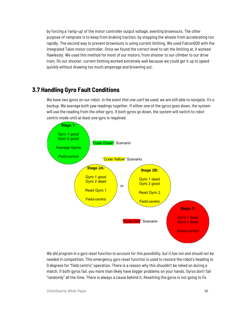by forcing a 'ramp-up' of the motor controller output voltage, averting brownouts. The other purpose of ramprate is to keep from braking traction, by stopping the wheels from accelerating too rapidly. The second way to prevent brownouts is using current limiting. We used Falcon500 with the integrated Talon motor controller. Once we found the correct level to set the limiting at, it worked flawlessly. We used this method for most of our motors, from shooter to our climber to our drive train. On our shooter, current limiting worked extremely well because we could get it up to speed quickly without drawing too much amperage and browning out.

# <span id="page-40-0"></span>**3.7 Handling Gyro Fault Conditions**

We have two gyros on our robot. *In the event that one can't be used, we are still able to navigate. It's a backup.* We average both yaw readings together. If either one of the gyros goes down, the system will use the reading from the other gyro. If both gyros go down, the system will switch to *robot centric* mode until at least one gyro is regained.



We did program in a gyro reset function to account for this possibility, but it has not and should not be *needed in competition.* This emergency gyro reset function is used to restore the robot's heading to 0 degrees for "field centric" operation. There is a reason why this shouldn't be relied on during a match. If both gyros fail, you more than likely have bigger problems on your hands. Gyros don't fail "randomly" all the time. There is always a cause behind it. Resetting the gyros is not going to fix